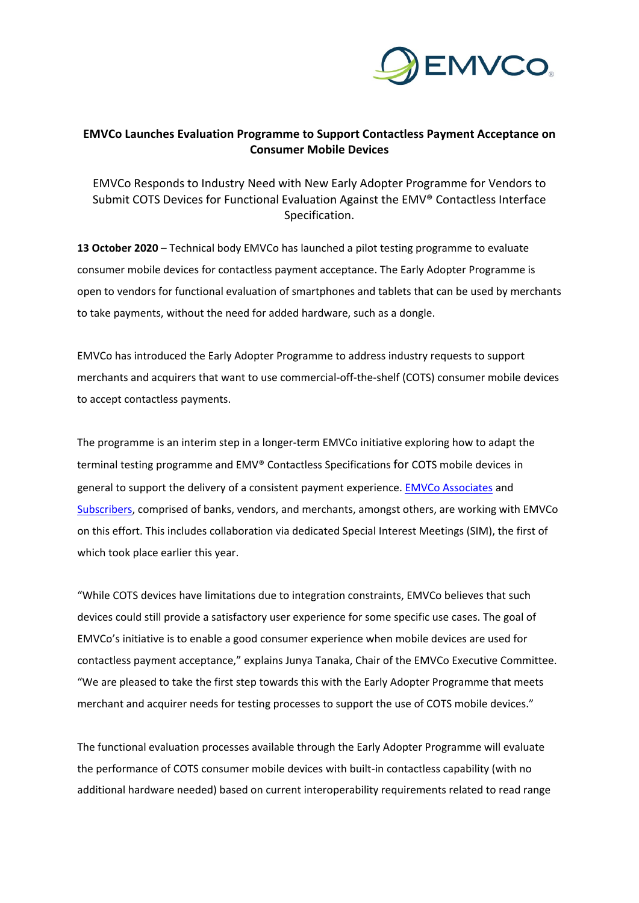

## **EMVCo Launches Evaluation Programme to Support Contactless Payment Acceptance on Consumer Mobile Devices**

EMVCo Responds to Industry Need with New Early Adopter Programme for Vendors to Submit COTS Devices for Functional Evaluation Against the EMV® Contactless Interface Specification.

**13 October 2020** – Technical body EMVCo has launched a pilot testing programme to evaluate consumer mobile devices for contactless payment acceptance. The Early Adopter Programme is open to vendors for functional evaluation of smartphones and tablets that can be used by merchants to take payments, without the need for added hardware, such as a dongle.

EMVCo has introduced the Early Adopter Programme to address industry requests to support merchants and acquirers that want to use commercial-off-the-shelf (COTS) consumer mobile devices to accept contactless payments.

The programme is an interim step in a longer-term EMVCo initiative exploring how to adapt the terminal testing programme and EMV® Contactless Specifications for COTS mobile devices in general to support the delivery of a consistent payment experience. [EMVCo Associates](https://www.emvco.com/get-involved/associates/) and [Subscribers,](https://www.emvco.com/get-involved/subscribers/) comprised of banks, vendors, and merchants, amongst others, are working with EMVCo on this effort. This includes collaboration via dedicated Special Interest Meetings (SIM), the first of which took place earlier this year.

"While COTS devices have limitations due to integration constraints, EMVCo believes that such devices could still provide a satisfactory user experience for some specific use cases. The goal of EMVCo's initiative is to enable a good consumer experience when mobile devices are used for contactless payment acceptance," explains Junya Tanaka, Chair of the EMVCo Executive Committee. "We are pleased to take the first step towards this with the Early Adopter Programme that meets merchant and acquirer needs for testing processes to support the use of COTS mobile devices."

The functional evaluation processes available through the Early Adopter Programme will evaluate the performance of COTS consumer mobile devices with built-in contactless capability (with no additional hardware needed) based on current interoperability requirements related to read range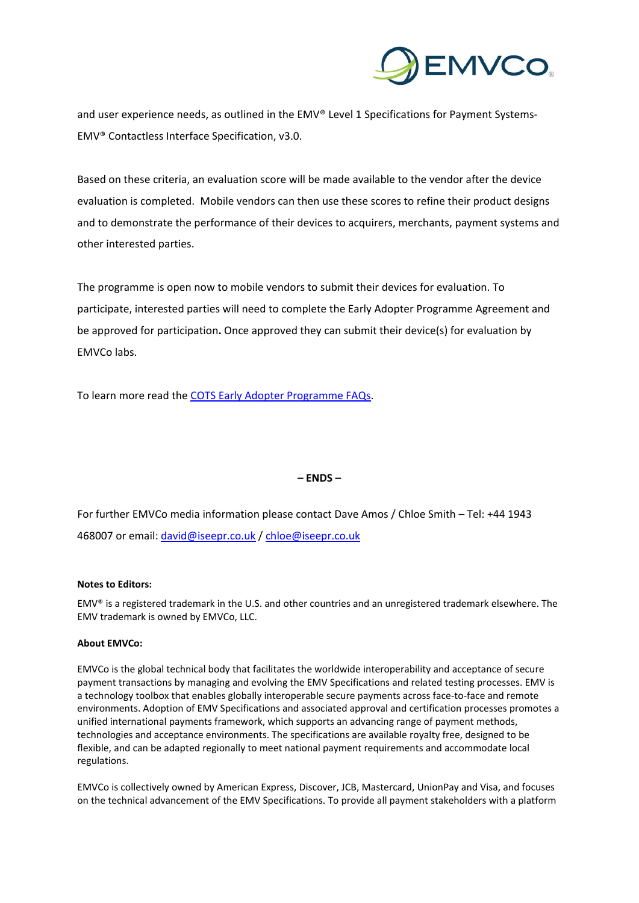

and user experience needs, as outlined in the EMV® Level [1 Specifications for Payment Systems-](https://www.emvco.com/wp-content/uploads/documents/EMV-Level-1-Contactless-Interface-Specification-V3.0-180423.pdf)EMV® [Contactless Interface Specification,](https://www.emvco.com/wp-content/uploads/documents/EMV-Level-1-Contactless-Interface-Specification-V3.0-180423.pdf) v3.0.

Based on these criteria, an evaluation score will be made available to the vendor after the device evaluation is completed. Mobile vendors can then use these scores to refine their product designs and to demonstrate the performance of their devices to acquirers, merchants, payment systems and other interested parties.

The programme is open now to mobile vendors to submit their devices for evaluation. To participate, interested parties will need to complete the Early Adopter Programme Agreement and be approved for participation**.** Once approved they can submit their device(s) for evaluation by EMVCo labs.

To learn more read the COTS Early [Adopter Programme FAQs.](https://www.emvco.com/document-search/?action=search_documents&publish_date=&emvco_document_version=&emvco_document_book=&px_search=early+adopter&emvco_document_education%5B%5D=faqs)

## **– ENDS –**

For further EMVCo media information please contact Dave Amos / Chloe Smith – Tel: +44 1943 468007 or email: [david@iseepr.co.uk](mailto:david@iseepr.co.uk) / [chloe@iseepr.co.uk](mailto:chloe@iseepr.co.uk)

## **Notes to Editors:**

EMV® is a registered trademark in the U.S. and other countries and an unregistered trademark elsewhere. The EMV trademark is owned by EMVCo, LLC.

## **About EMVCo:**

EMVCo is the global technical body that facilitates the worldwide interoperability and acceptance of secure payment transactions by managing and evolving the EMV Specifications and related testing processes. EMV is a technology toolbox that enables globally interoperable secure payments across face-to-face and remote environments. Adoption of EMV Specifications and associated approval and certification processes promotes a unified international payments framework, which supports an advancing range of payment methods, technologies and acceptance environments. The specifications are available royalty free, designed to be flexible, and can be adapted regionally to meet national payment requirements and accommodate local regulations.

EMVCo is collectively owned by American Express, Discover, JCB, Mastercard, UnionPay and Visa, and focuses on the technical advancement of the EMV Specifications. To provide all payment stakeholders with a platform